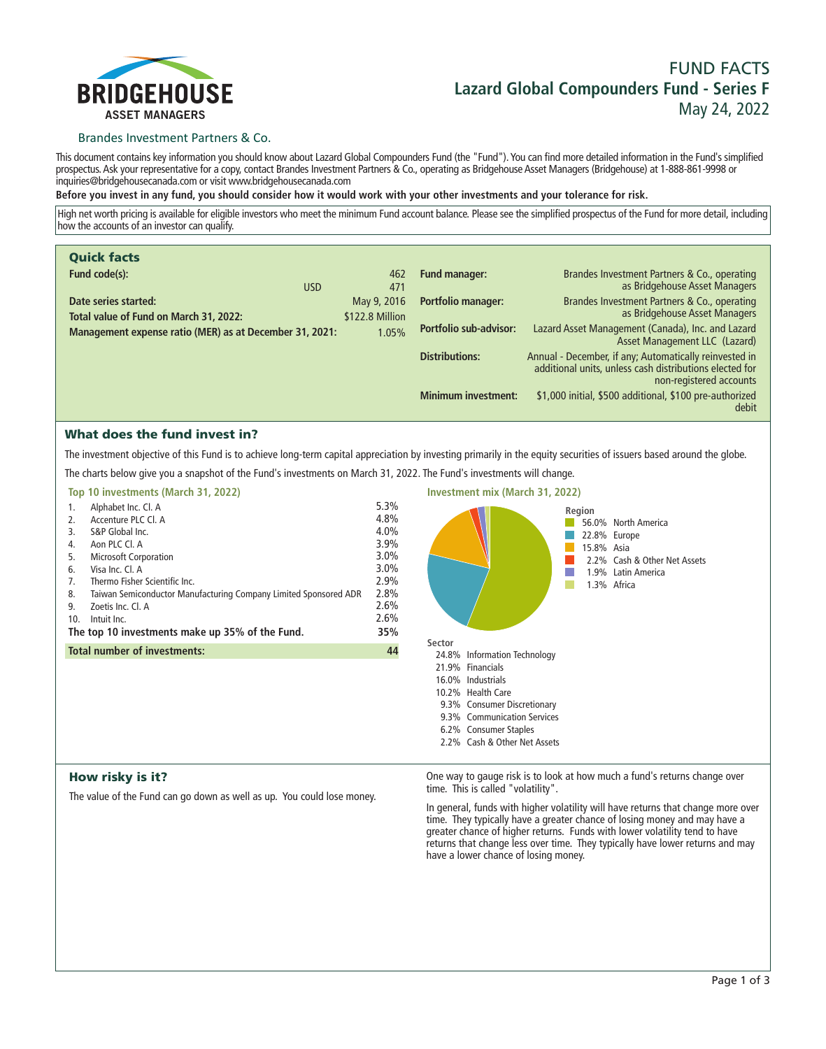

# **FUND FACTS Lazard Global Compounders Fund - Series F May 24, 2022**

# Brandes Investment Partners & Co.

**This document contains key information you should know about Lazard Global Compounders Fund (the "Fund"). You can find more detailed information in the Fund's simplified prospectus. Ask your representative for a copy, contact Brandes Investment Partners & Co., operating as Bridgehouse Asset Managers (Bridgehouse) at 1-888-861-9998 or inquiries@bridgehousecanada.com or visit www.bridgehousecanada.com**

**Before you invest in any fund, you should consider how it would work with your other investments and your tolerance for risk.**

**High net worth pricing is available for eligible investors who meet the minimum Fund account balance. Please see the simplified prospectus of the Fund for more detail, including how the accounts of an investor can qualify.**

| <b>Quick facts</b>                                             |                                |                               |                                                                                                                                              |
|----------------------------------------------------------------|--------------------------------|-------------------------------|----------------------------------------------------------------------------------------------------------------------------------------------|
| Fund code(s):<br><b>USD</b>                                    | 462<br>471                     | <b>Fund manager:</b>          | Brandes Investment Partners & Co., operating<br>as Bridgehouse Asset Managers                                                                |
| Date series started:<br>Total value of Fund on March 31, 2022: | May 9, 2016<br>\$122.8 Million | <b>Portfolio manager:</b>     | Brandes Investment Partners & Co., operating<br>as Bridgehouse Asset Managers                                                                |
| Management expense ratio (MER) as at December 31, 2021:        | 1.05%                          | <b>Portfolio sub-advisor:</b> | Lazard Asset Management (Canada), Inc. and Lazard<br>Asset Management LLC (Lazard)                                                           |
|                                                                |                                | <b>Distributions:</b>         | Annual - December, if any; Automatically reinvested in<br>additional units, unless cash distributions elected for<br>non-registered accounts |
|                                                                |                                | <b>Minimum investment:</b>    | \$1,000 initial, \$500 additional, \$100 pre-authorized<br>debit                                                                             |

# What does the fund invest in?

**The investment objective of this Fund is to achieve long-term capital appreciation by investing primarily in the equity securities of issuers based around the globe. The charts below give you a snapshot of the Fund's investments on March 31, 2022. The Fund's investments will change.**

|     | Top 10 investments (March 31, 2022)                              |         |
|-----|------------------------------------------------------------------|---------|
| 1.  | Alphabet Inc. Cl. A                                              | 5.3%    |
| 2.  | Accenture PLC Cl. A                                              | 4.8%    |
| 3.  | S&P Global Inc.                                                  | 4.0%    |
| 4.  | Aon PLC Cl. A                                                    | 3.9%    |
| 5.  | <b>Microsoft Corporation</b>                                     | $3.0\%$ |
| 6.  | Visa Inc. Cl. A                                                  | 3.0%    |
| 7.  | Thermo Fisher Scientific Inc.                                    | 2.9%    |
| 8.  | Taiwan Semiconductor Manufacturing Company Limited Sponsored ADR | 2.8%    |
| 9.  | Zoetis Inc. Cl. A                                                | 2.6%    |
| 10. | Intuit Inc.                                                      | 2.6%    |
|     | The top 10 investments make up 35% of the Fund.                  | 35%     |
|     | <b>Total number of investments:</b>                              | 44      |
|     |                                                                  |         |
|     |                                                                  |         |



# How risky is it?

**The value of the Fund can go down as well as up. You could lose money.**

**One way to gauge risk is to look at how much a fund's returns change over time. This is called "volatility".**

**In general, funds with higher volatility will have returns that change more over time. They typically have a greater chance of losing money and may have a greater chance of higher returns. Funds with lower volatility tend to have**  returns that change less over time. They typically have lower returns and may **have a lower chance of losing money.**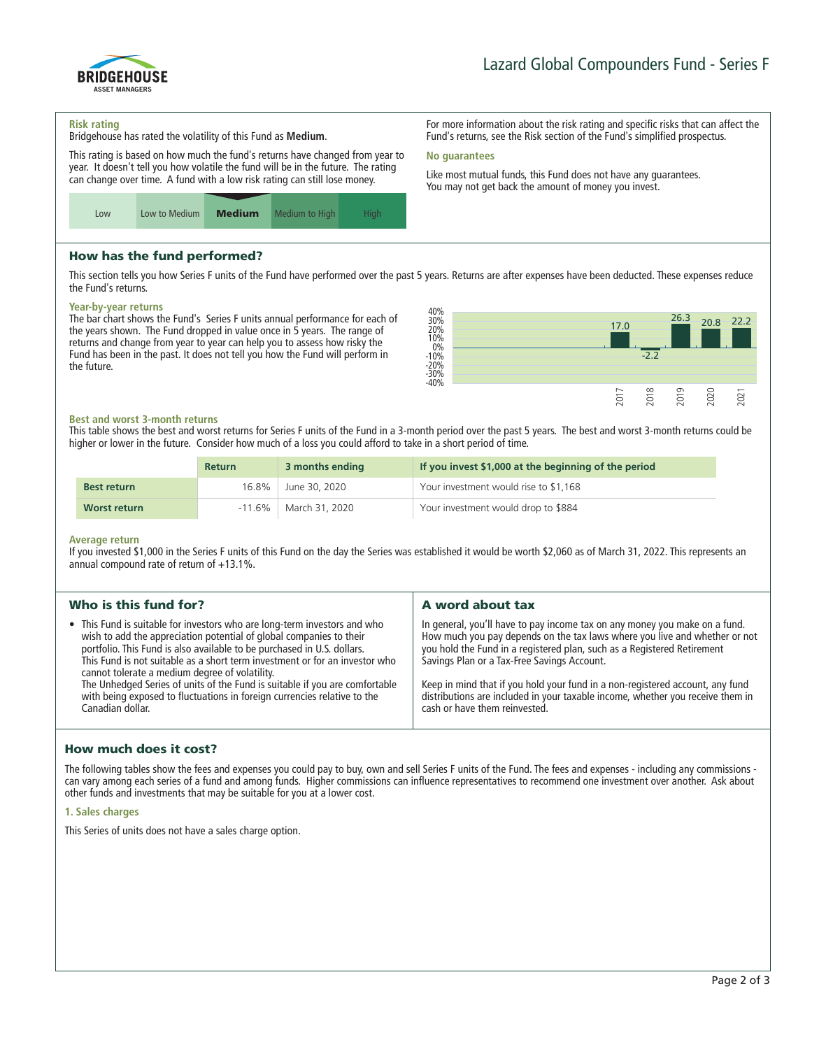

**For more information about the risk rating and specific risks that can affect the Fund's returns, see the Risk section of the Fund's simplified prospectus.**

**Like most mutual funds, this Fund does not have any guarantees. You may not get back the amount of money you invest.**

#### **Risk rating**

**Bridgehouse has rated the volatility of this Fund as Medium.**

**This rating is based on how much the fund's returns have changed from year to year. It doesn't tell you how volatile the fund will be in the future. The rating can change over time. A fund with a low risk rating can still lose money.**



# How has the fund performed?

**This section tells you how Series F units of the Fund have performed over the past 5 years. Returns are after expenses have been deducted. These expenses reduce the Fund's returns.**

**No guarantees**

#### **Year-by-year returns**

**The bar chart shows the Fund's Series F units annual performance for each of the years shown. The Fund dropped in value once in 5 years. The range of returns and change from year to year can help you to assess how risky the Fund has been in the past. It does not tell you how the Fund will perform in the future.**



### **Best and worst 3-month returns**

**This table shows the best and worst returns for Series F units of the Fund in a 3-month period over the past 5 years. The best and worst 3-month returns could be higher or lower in the future. Consider how much of a loss you could afford to take in a short period of time.**

|                    | <b>Return</b> | 3 months ending | If you invest \$1,000 at the beginning of the period |
|--------------------|---------------|-----------------|------------------------------------------------------|
| <b>Best return</b> | 16.8%         | June 30, 2020   | Your investment would rise to \$1,168                |
| Worst return       | $-11.6\%$     | March 31, 2020  | Your investment would drop to \$884                  |

#### **Average return**

**If you invested \$1,000 in the Series F units of this Fund on the day the Series was established it would be worth \$2,060 as of March 31, 2022. This represents an annual compound rate of return of +13.1%.**

|                                                                                                                                                                                                                                                                                                                                                                                                                                                                                                                                                                                                                                                                                                                                                                                                                                                                                                                                                                                                                                       | A word about tax |  |
|---------------------------------------------------------------------------------------------------------------------------------------------------------------------------------------------------------------------------------------------------------------------------------------------------------------------------------------------------------------------------------------------------------------------------------------------------------------------------------------------------------------------------------------------------------------------------------------------------------------------------------------------------------------------------------------------------------------------------------------------------------------------------------------------------------------------------------------------------------------------------------------------------------------------------------------------------------------------------------------------------------------------------------------|------------------|--|
| • This Fund is suitable for investors who are long-term investors and who<br>In general, you'll have to pay income tax on any money you make on a fund.<br>How much you pay depends on the tax laws where you live and whether or not<br>wish to add the appreciation potential of global companies to their<br>you hold the Fund in a registered plan, such as a Registered Retirement<br>portfolio. This Fund is also available to be purchased in U.S. dollars.<br>This Fund is not suitable as a short term investment or for an investor who<br>Savings Plan or a Tax-Free Savings Account.<br>cannot tolerate a medium degree of volatility.<br>The Unhedged Series of units of the Fund is suitable if you are comfortable<br>Keep in mind that if you hold your fund in a non-registered account, any fund<br>with being exposed to fluctuations in foreign currencies relative to the<br>distributions are included in your taxable income, whether you receive them in<br>cash or have them reinvested.<br>Canadian dollar. |                  |  |

# How much does it cost?

**The following tables show the fees and expenses you could pay to buy, own and sell Series F units of the Fund. The fees and expenses - including any commissions can vary among each series of a fund and among funds. Higher commissions can influence representatives to recommend one investment over another. Ask about other funds and investments that may be suitable for you at a lower cost.**

### **1. Sales charges**

**This Series of units does not have a sales charge option.**